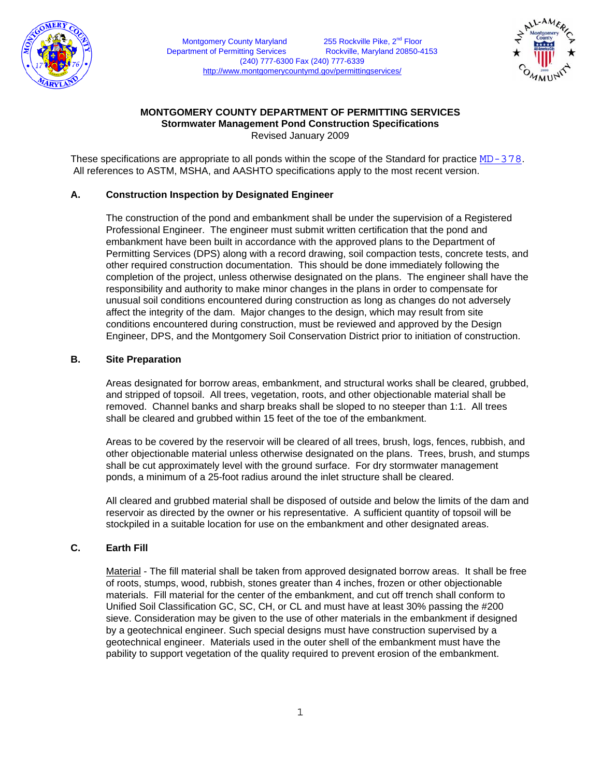

Montgomery County Maryland 255 Rockville Pike, 2<sup>nd</sup> Floor Department of Permitting Services Rockville, Maryland 20850-4153 (240) 777-6300 Fax (240) 777-6339 [http://www.montgomerycountymd.gov](http://www.montgomerycountymd.gov/)/permittingservices/



### **MONTGOMERY COUNTY DEPARTMENT OF PERMITTING SERVICES Stormwater Management Pond Construction Specifications** Revised January 2009

These specifications are appropriate to all ponds within the scope of the Standard for practice MD-378. All references to ASTM, MSHA, and AASHTO specifications apply to the most recent version.

# **A. Construction Inspection by Designated Engineer**

 The construction of the pond and embankment shall be under the supervision of a Registered Professional Engineer. The engineer must submit written certification that the pond and embankment have been built in accordance with the approved plans to the Department of Permitting Services (DPS) along with a record drawing, soil compaction tests, concrete tests, and other required construction documentation. This should be done immediately following the completion of the project, unless otherwise designated on the plans. The engineer shall have the responsibility and authority to make minor changes in the plans in order to compensate for unusual soil conditions encountered during construction as long as changes do not adversely affect the integrity of the dam. Major changes to the design, which may result from site conditions encountered during construction, must be reviewed and approved by the Design Engineer, DPS, and the Montgomery Soil Conservation District prior to initiation of construction.

## **B. Site Preparation**

 Areas designated for borrow areas, embankment, and structural works shall be cleared, grubbed, and stripped of topsoil. All trees, vegetation, roots, and other objectionable material shall be removed. Channel banks and sharp breaks shall be sloped to no steeper than 1:1. All trees shall be cleared and grubbed within 15 feet of the toe of the embankment.

 Areas to be covered by the reservoir will be cleared of all trees, brush, logs, fences, rubbish, and other objectionable material unless otherwise designated on the plans. Trees, brush, and stumps shall be cut approximately level with the ground surface. For dry stormwater management ponds, a minimum of a 25-foot radius around the inlet structure shall be cleared.

All cleared and grubbed material shall be disposed of outside and below the limits of the dam and reservoir as directed by the owner or his representative. A sufficient quantity of topsoil will be stockpiled in a suitable location for use on the embankment and other designated areas.

## **C. Earth Fill**

Material - The fill material shall be taken from approved designated borrow areas. It shall be free of roots, stumps, wood, rubbish, stones greater than 4 inches, frozen or other objectionable materials. Fill material for the center of the embankment, and cut off trench shall conform to Unified Soil Classification GC, SC, CH, or CL and must have at least 30% passing the #200 sieve. Consideration may be given to the use of other materials in the embankment if designed by a geotechnical engineer. Such special designs must have construction supervised by a geotechnical engineer. Materials used in the outer shell of the embankment must have the pability to support vegetation of the quality required to prevent erosion of the embankment.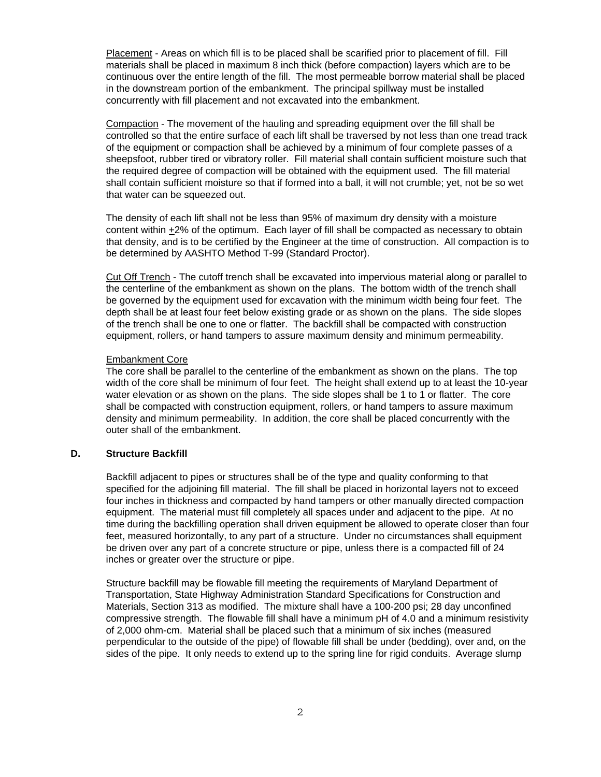Placement - Areas on which fill is to be placed shall be scarified prior to placement of fill. Fill materials shall be placed in maximum 8 inch thick (before compaction) layers which are to be continuous over the entire length of the fill. The most permeable borrow material shall be placed in the downstream portion of the embankment. The principal spillway must be installed concurrently with fill placement and not excavated into the embankment.

Compaction - The movement of the hauling and spreading equipment over the fill shall be controlled so that the entire surface of each lift shall be traversed by not less than one tread track of the equipment or compaction shall be achieved by a minimum of four complete passes of a sheepsfoot, rubber tired or vibratory roller. Fill material shall contain sufficient moisture such that the required degree of compaction will be obtained with the equipment used. The fill material shall contain sufficient moisture so that if formed into a ball, it will not crumble; yet, not be so wet that water can be squeezed out.

 The density of each lift shall not be less than 95% of maximum dry density with a moisture content within +2% of the optimum. Each layer of fill shall be compacted as necessary to obtain that density, and is to be certified by the Engineer at the time of construction. All compaction is to be determined by AASHTO Method T-99 (Standard Proctor).

Cut Off Trench - The cutoff trench shall be excavated into impervious material along or parallel to the centerline of the embankment as shown on the plans. The bottom width of the trench shall be governed by the equipment used for excavation with the minimum width being four feet. The depth shall be at least four feet below existing grade or as shown on the plans. The side slopes of the trench shall be one to one or flatter. The backfill shall be compacted with construction equipment, rollers, or hand tampers to assure maximum density and minimum permeability.

#### Embankment Core

The core shall be parallel to the centerline of the embankment as shown on the plans. The top width of the core shall be minimum of four feet. The height shall extend up to at least the 10-year water elevation or as shown on the plans. The side slopes shall be 1 to 1 or flatter. The core shall be compacted with construction equipment, rollers, or hand tampers to assure maximum density and minimum permeability. In addition, the core shall be placed concurrently with the outer shall of the embankment.

### **D. Structure Backfill**

 Backfill adjacent to pipes or structures shall be of the type and quality conforming to that specified for the adjoining fill material. The fill shall be placed in horizontal layers not to exceed four inches in thickness and compacted by hand tampers or other manually directed compaction equipment. The material must fill completely all spaces under and adjacent to the pipe. At no time during the backfilling operation shall driven equipment be allowed to operate closer than four feet, measured horizontally, to any part of a structure. Under no circumstances shall equipment be driven over any part of a concrete structure or pipe, unless there is a compacted fill of 24 inches or greater over the structure or pipe.

 Structure backfill may be flowable fill meeting the requirements of Maryland Department of Transportation, State Highway Administration Standard Specifications for Construction and Materials, Section 313 as modified. The mixture shall have a 100-200 psi; 28 day unconfined compressive strength. The flowable fill shall have a minimum pH of 4.0 and a minimum resistivity of 2,000 ohm-cm. Material shall be placed such that a minimum of six inches (measured perpendicular to the outside of the pipe) of flowable fill shall be under (bedding), over and, on the sides of the pipe. It only needs to extend up to the spring line for rigid conduits. Average slump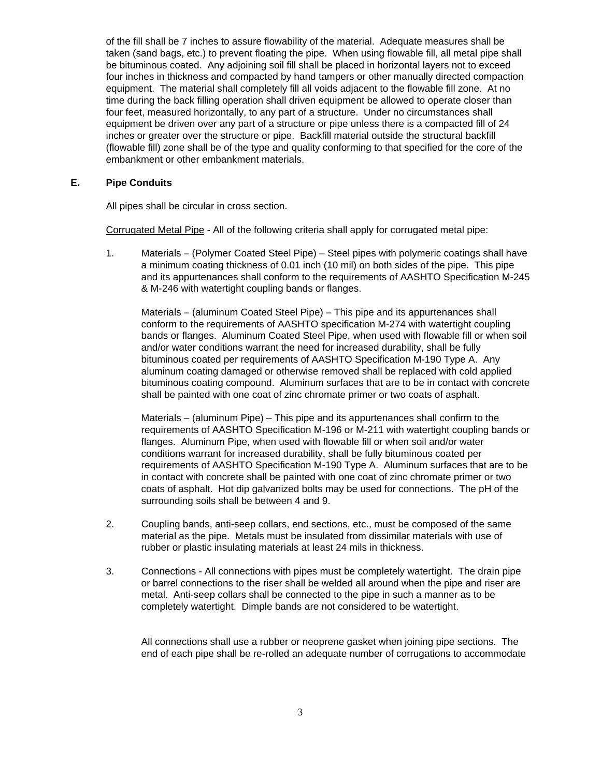of the fill shall be 7 inches to assure flowability of the material. Adequate measures shall be taken (sand bags, etc.) to prevent floating the pipe. When using flowable fill, all metal pipe shall be bituminous coated. Any adjoining soil fill shall be placed in horizontal layers not to exceed four inches in thickness and compacted by hand tampers or other manually directed compaction equipment. The material shall completely fill all voids adjacent to the flowable fill zone. At no time during the back filling operation shall driven equipment be allowed to operate closer than four feet, measured horizontally, to any part of a structure. Under no circumstances shall equipment be driven over any part of a structure or pipe unless there is a compacted fill of 24 inches or greater over the structure or pipe. Backfill material outside the structural backfill (flowable fill) zone shall be of the type and quality conforming to that specified for the core of the embankment or other embankment materials.

#### **E. Pipe Conduits**

All pipes shall be circular in cross section.

Corrugated Metal Pipe - All of the following criteria shall apply for corrugated metal pipe:

1. Materials – (Polymer Coated Steel Pipe) – Steel pipes with polymeric coatings shall have a minimum coating thickness of 0.01 inch (10 mil) on both sides of the pipe. This pipe and its appurtenances shall conform to the requirements of AASHTO Specification M-245 & M-246 with watertight coupling bands or flanges.

Materials – (aluminum Coated Steel Pipe) – This pipe and its appurtenances shall conform to the requirements of AASHTO specification M-274 with watertight coupling bands or flanges. Aluminum Coated Steel Pipe, when used with flowable fill or when soil and/or water conditions warrant the need for increased durability, shall be fully bituminous coated per requirements of AASHTO Specification M-190 Type A. Any aluminum coating damaged or otherwise removed shall be replaced with cold applied bituminous coating compound. Aluminum surfaces that are to be in contact with concrete shall be painted with one coat of zinc chromate primer or two coats of asphalt.

Materials – (aluminum Pipe) – This pipe and its appurtenances shall confirm to the requirements of AASHTO Specification M-196 or M-211 with watertight coupling bands or flanges. Aluminum Pipe, when used with flowable fill or when soil and/or water conditions warrant for increased durability, shall be fully bituminous coated per requirements of AASHTO Specification M-190 Type A. Aluminum surfaces that are to be in contact with concrete shall be painted with one coat of zinc chromate primer or two coats of asphalt. Hot dip galvanized bolts may be used for connections. The pH of the surrounding soils shall be between 4 and 9.

- 2. Coupling bands, anti-seep collars, end sections, etc., must be composed of the same material as the pipe. Metals must be insulated from dissimilar materials with use of rubber or plastic insulating materials at least 24 mils in thickness.
- 3. Connections All connections with pipes must be completely watertight. The drain pipe or barrel connections to the riser shall be welded all around when the pipe and riser are metal. Anti-seep collars shall be connected to the pipe in such a manner as to be completely watertight. Dimple bands are not considered to be watertight.

 All connections shall use a rubber or neoprene gasket when joining pipe sections. The end of each pipe shall be re-rolled an adequate number of corrugations to accommodate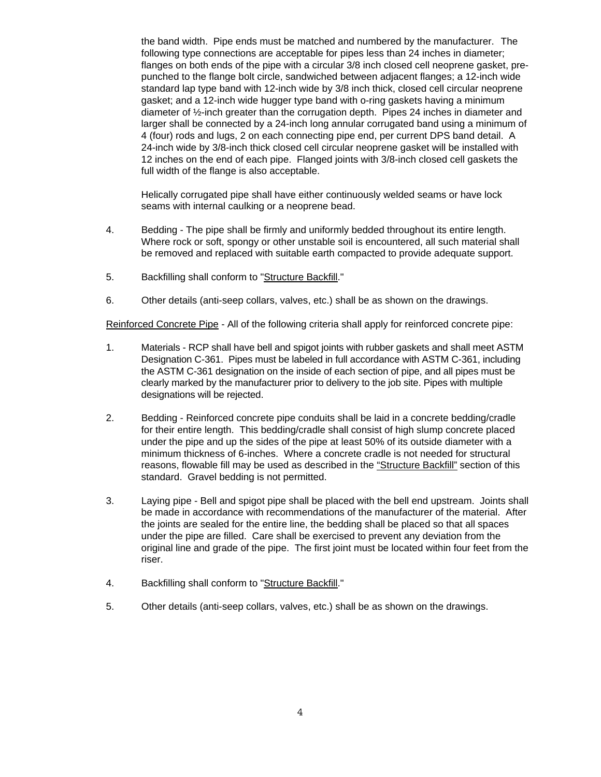the band width. Pipe ends must be matched and numbered by the manufacturer. The following type connections are acceptable for pipes less than 24 inches in diameter; flanges on both ends of the pipe with a circular 3/8 inch closed cell neoprene gasket, prepunched to the flange bolt circle, sandwiched between adjacent flanges; a 12-inch wide standard lap type band with 12-inch wide by 3/8 inch thick, closed cell circular neoprene gasket; and a 12-inch wide hugger type band with o-ring gaskets having a minimum diameter of ½-inch greater than the corrugation depth. Pipes 24 inches in diameter and larger shall be connected by a 24-inch long annular corrugated band using a minimum of 4 (four) rods and lugs, 2 on each connecting pipe end, per current DPS band detail. A 24-inch wide by 3/8-inch thick closed cell circular neoprene gasket will be installed with 12 inches on the end of each pipe. Flanged joints with 3/8-inch closed cell gaskets the full width of the flange is also acceptable.

 Helically corrugated pipe shall have either continuously welded seams or have lock seams with internal caulking or a neoprene bead.

- 4. Bedding The pipe shall be firmly and uniformly bedded throughout its entire length. Where rock or soft, spongy or other unstable soil is encountered, all such material shall be removed and replaced with suitable earth compacted to provide adequate support.
- 5. Backfilling shall conform to "Structure Backfill."
- 6. Other details (anti-seep collars, valves, etc.) shall be as shown on the drawings.

Reinforced Concrete Pipe - All of the following criteria shall apply for reinforced concrete pipe:

- 1. Materials RCP shall have bell and spigot joints with rubber gaskets and shall meet ASTM Designation C-361. Pipes must be labeled in full accordance with ASTM C-361, including the ASTM C-361 designation on the inside of each section of pipe, and all pipes must be clearly marked by the manufacturer prior to delivery to the job site. Pipes with multiple designations will be rejected.
- 2. Bedding Reinforced concrete pipe conduits shall be laid in a concrete bedding/cradle for their entire length. This bedding/cradle shall consist of high slump concrete placed under the pipe and up the sides of the pipe at least 50% of its outside diameter with a minimum thickness of 6-inches. Where a concrete cradle is not needed for structural reasons, flowable fill may be used as described in the "Structure Backfill" section of this standard. Gravel bedding is not permitted.
- 3. Laying pipe Bell and spigot pipe shall be placed with the bell end upstream. Joints shall be made in accordance with recommendations of the manufacturer of the material. After the joints are sealed for the entire line, the bedding shall be placed so that all spaces under the pipe are filled. Care shall be exercised to prevent any deviation from the original line and grade of the pipe. The first joint must be located within four feet from the riser.
- 4. Backfilling shall conform to "Structure Backfill."
- 5. Other details (anti-seep collars, valves, etc.) shall be as shown on the drawings.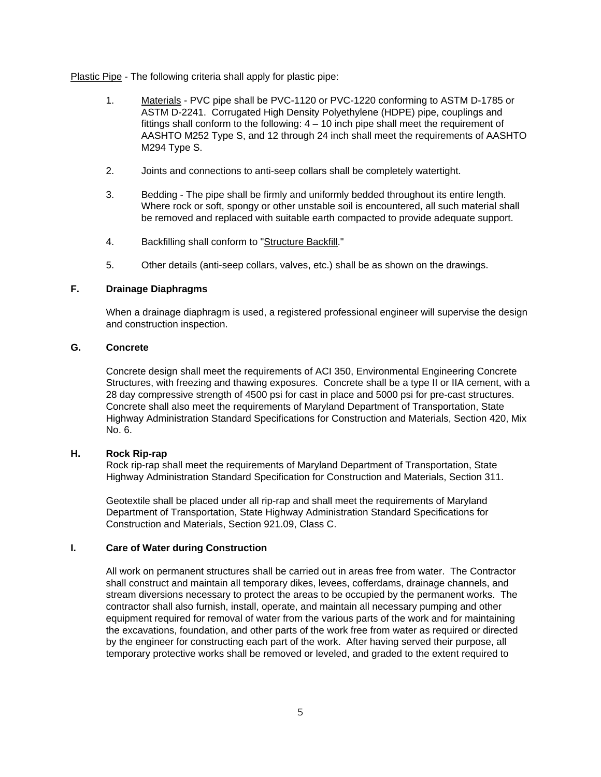Plastic Pipe - The following criteria shall apply for plastic pipe:

- 1. Materials PVC pipe shall be PVC-1120 or PVC-1220 conforming to ASTM D-1785 or ASTM D-2241. Corrugated High Density Polyethylene (HDPE) pipe, couplings and fittings shall conform to the following: 4 – 10 inch pipe shall meet the requirement of AASHTO M252 Type S, and 12 through 24 inch shall meet the requirements of AASHTO M294 Type S.
- 2. Joints and connections to anti-seep collars shall be completely watertight.
- 3. Bedding The pipe shall be firmly and uniformly bedded throughout its entire length. Where rock or soft, spongy or other unstable soil is encountered, all such material shall be removed and replaced with suitable earth compacted to provide adequate support.
- 4. Backfilling shall conform to "Structure Backfill."
- 5. Other details (anti-seep collars, valves, etc.) shall be as shown on the drawings.

### **F. Drainage Diaphragms**

When a drainage diaphragm is used, a registered professional engineer will supervise the design and construction inspection.

### **G. Concrete**

Concrete design shall meet the requirements of ACI 350, Environmental Engineering Concrete Structures, with freezing and thawing exposures. Concrete shall be a type II or IIA cement, with a 28 day compressive strength of 4500 psi for cast in place and 5000 psi for pre-cast structures. Concrete shall also meet the requirements of Maryland Department of Transportation, State Highway Administration Standard Specifications for Construction and Materials, Section 420, Mix No. 6.

#### **H. Rock Rip-rap**

 Rock rip-rap shall meet the requirements of Maryland Department of Transportation, State Highway Administration Standard Specification for Construction and Materials, Section 311.

 Geotextile shall be placed under all rip-rap and shall meet the requirements of Maryland Department of Transportation, State Highway Administration Standard Specifications for Construction and Materials, Section 921.09, Class C.

## **I. Care of Water during Construction**

 All work on permanent structures shall be carried out in areas free from water. The Contractor shall construct and maintain all temporary dikes, levees, cofferdams, drainage channels, and stream diversions necessary to protect the areas to be occupied by the permanent works. The contractor shall also furnish, install, operate, and maintain all necessary pumping and other equipment required for removal of water from the various parts of the work and for maintaining the excavations, foundation, and other parts of the work free from water as required or directed by the engineer for constructing each part of the work. After having served their purpose, all temporary protective works shall be removed or leveled, and graded to the extent required to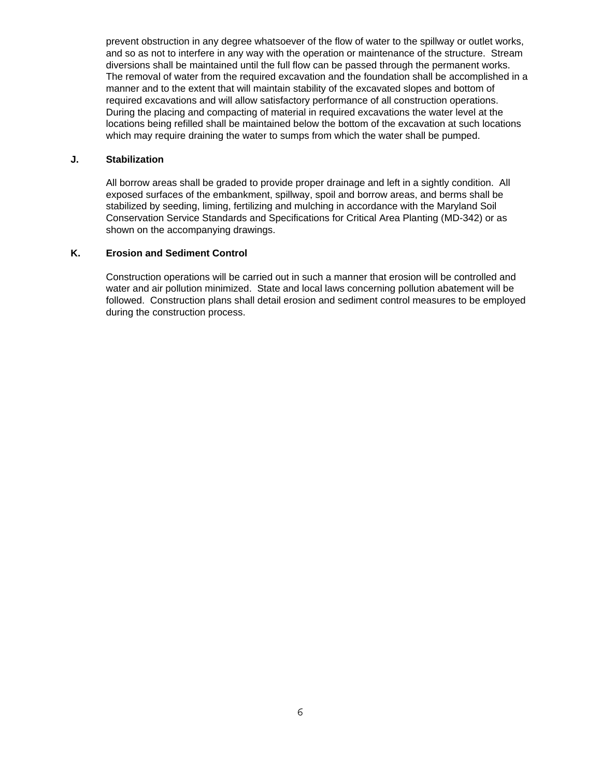prevent obstruction in any degree whatsoever of the flow of water to the spillway or outlet works, and so as not to interfere in any way with the operation or maintenance of the structure. Stream diversions shall be maintained until the full flow can be passed through the permanent works. The removal of water from the required excavation and the foundation shall be accomplished in a manner and to the extent that will maintain stability of the excavated slopes and bottom of required excavations and will allow satisfactory performance of all construction operations. During the placing and compacting of material in required excavations the water level at the locations being refilled shall be maintained below the bottom of the excavation at such locations which may require draining the water to sumps from which the water shall be pumped.

### **J. Stabilization**

 All borrow areas shall be graded to provide proper drainage and left in a sightly condition. All exposed surfaces of the embankment, spillway, spoil and borrow areas, and berms shall be stabilized by seeding, liming, fertilizing and mulching in accordance with the Maryland Soil Conservation Service Standards and Specifications for Critical Area Planting (MD-342) or as shown on the accompanying drawings.

#### **K. Erosion and Sediment Control**

 Construction operations will be carried out in such a manner that erosion will be controlled and water and air pollution minimized. State and local laws concerning pollution abatement will be followed. Construction plans shall detail erosion and sediment control measures to be employed during the construction process.